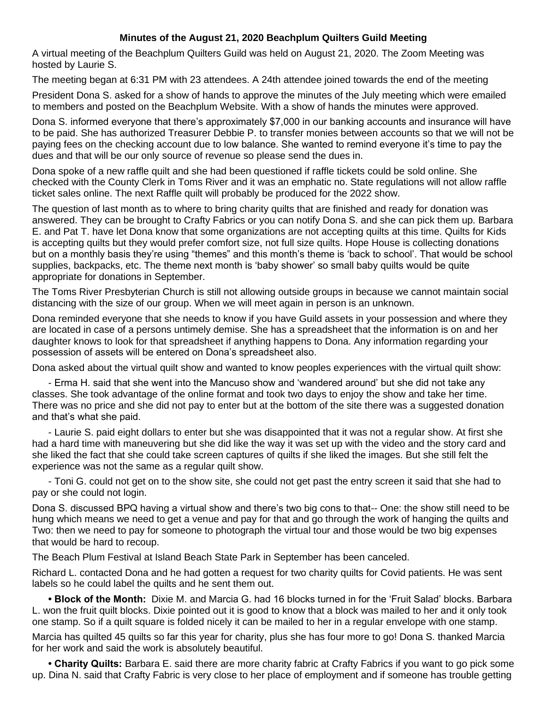## **Minutes of the August 21, 2020 Beachplum Quilters Guild Meeting**

A virtual meeting of the Beachplum Quilters Guild was held on August 21, 2020. The Zoom Meeting was hosted by Laurie S.

The meeting began at 6:31 PM with 23 attendees. A 24th attendee joined towards the end of the meeting

President Dona S. asked for a show of hands to approve the minutes of the July meeting which were emailed to members and posted on the Beachplum Website. With a show of hands the minutes were approved.

Dona S. informed everyone that there's approximately \$7,000 in our banking accounts and insurance will have to be paid. She has authorized Treasurer Debbie P. to transfer monies between accounts so that we will not be paying fees on the checking account due to low balance. She wanted to remind everyone it's time to pay the dues and that will be our only source of revenue so please send the dues in.

Dona spoke of a new raffle quilt and she had been questioned if raffle tickets could be sold online. She checked with the County Clerk in Toms River and it was an emphatic no. State regulations will not allow raffle ticket sales online. The next Raffle quilt will probably be produced for the 2022 show.

The question of last month as to where to bring charity quilts that are finished and ready for donation was answered. They can be brought to Crafty Fabrics or you can notify Dona S. and she can pick them up. Barbara E. and Pat T. have let Dona know that some organizations are not accepting quilts at this time. Quilts for Kids is accepting quilts but they would prefer comfort size, not full size quilts. Hope House is collecting donations but on a monthly basis they're using "themes" and this month's theme is 'back to school'. That would be school supplies, backpacks, etc. The theme next month is 'baby shower' so small baby quilts would be quite appropriate for donations in September.

The Toms River Presbyterian Church is still not allowing outside groups in because we cannot maintain social distancing with the size of our group. When we will meet again in person is an unknown.

Dona reminded everyone that she needs to know if you have Guild assets in your possession and where they are located in case of a persons untimely demise. She has a spreadsheet that the information is on and her daughter knows to look for that spreadsheet if anything happens to Dona. Any information regarding your possession of assets will be entered on Dona's spreadsheet also.

Dona asked about the virtual quilt show and wanted to know peoples experiences with the virtual quilt show:

- Erma H. said that she went into the Mancuso show and 'wandered around' but she did not take any classes. She took advantage of the online format and took two days to enjoy the show and take her time. There was no price and she did not pay to enter but at the bottom of the site there was a suggested donation and that's what she paid.

- Laurie S. paid eight dollars to enter but she was disappointed that it was not a regular show. At first she had a hard time with maneuvering but she did like the way it was set up with the video and the story card and she liked the fact that she could take screen captures of quilts if she liked the images. But she still felt the experience was not the same as a regular quilt show.

- Toni G. could not get on to the show site, she could not get past the entry screen it said that she had to pay or she could not login.

Dona S. discussed BPQ having a virtual show and there's two big cons to that-- One: the show still need to be hung which means we need to get a venue and pay for that and go through the work of hanging the quilts and Two: then we need to pay for someone to photograph the virtual tour and those would be two big expenses that would be hard to recoup.

The Beach Plum Festival at Island Beach State Park in September has been canceled.

Richard L. contacted Dona and he had gotten a request for two charity quilts for Covid patients. He was sent labels so he could label the quilts and he sent them out.

**• Block of the Month:** Dixie M. and Marcia G. had 16 blocks turned in for the 'Fruit Salad' blocks. Barbara L. won the fruit quilt blocks. Dixie pointed out it is good to know that a block was mailed to her and it only took one stamp. So if a quilt square is folded nicely it can be mailed to her in a regular envelope with one stamp.

Marcia has quilted 45 quilts so far this year for charity, plus she has four more to go! Dona S. thanked Marcia for her work and said the work is absolutely beautiful.

**• Charity Quilts:** Barbara E. said there are more charity fabric at Crafty Fabrics if you want to go pick some up. Dina N. said that Crafty Fabric is very close to her place of employment and if someone has trouble getting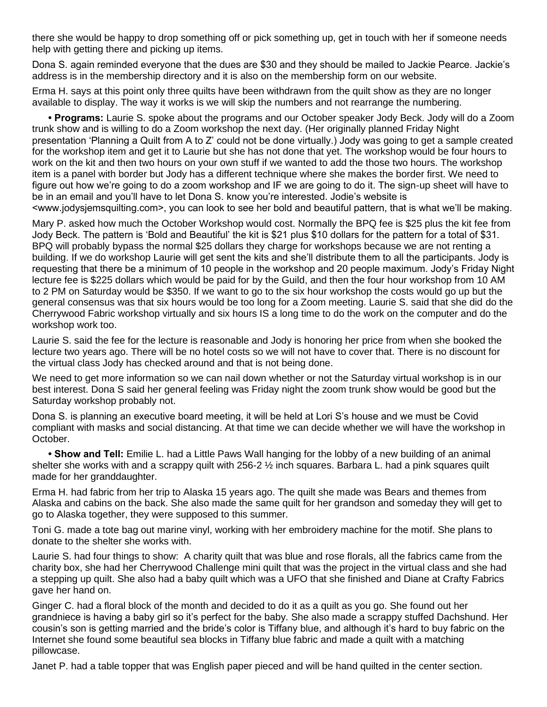there she would be happy to drop something off or pick something up, get in touch with her if someone needs help with getting there and picking up items.

Dona S. again reminded everyone that the dues are \$30 and they should be mailed to Jackie Pearce. Jackie's address is in the membership directory and it is also on the membership form on our website.

Erma H. says at this point only three quilts have been withdrawn from the quilt show as they are no longer available to display. The way it works is we will skip the numbers and not rearrange the numbering.

• Programs: Laurie S. spoke about the programs and our October speaker Jody Beck. Jody will do a Zoom trunk show and is willing to do a Zoom workshop the next day. (Her originally planned Friday Night presentation 'Planning a Quilt from A to Z' could not be done virtually.) Jody was going to get a sample created for the workshop item and get it to Laurie but she has not done that yet. The workshop would be four hours to work on the kit and then two hours on your own stuff if we wanted to add the those two hours. The workshop item is a panel with border but Jody has a different technique where she makes the border first. We need to figure out how we're going to do a zoom workshop and IF we are going to do it. The sign-up sheet will have to be in an email and you'll have to let Dona S. know you're interested. Jodie's website is <www.jodysjemsquilting.com>, you can look to see her bold and beautiful pattern, that is what we'll be making.

Mary P. asked how much the October Workshop would cost. Normally the BPQ fee is \$25 plus the kit fee from Jody Beck. The pattern is 'Bold and Beautiful' the kit is \$21 plus \$10 dollars for the pattern for a total of \$31. BPQ will probably bypass the normal \$25 dollars they charge for workshops because we are not renting a building. If we do workshop Laurie will get sent the kits and she'll distribute them to all the participants. Jody is requesting that there be a minimum of 10 people in the workshop and 20 people maximum. Jody's Friday Night lecture fee is \$225 dollars which would be paid for by the Guild, and then the four hour workshop from 10 AM to 2 PM on Saturday would be \$350. If we want to go to the six hour workshop the costs would go up but the general consensus was that six hours would be too long for a Zoom meeting. Laurie S. said that she did do the Cherrywood Fabric workshop virtually and six hours IS a long time to do the work on the computer and do the workshop work too.

Laurie S. said the fee for the lecture is reasonable and Jody is honoring her price from when she booked the lecture two years ago. There will be no hotel costs so we will not have to cover that. There is no discount for the virtual class Jody has checked around and that is not being done.

We need to get more information so we can nail down whether or not the Saturday virtual workshop is in our best interest. Dona S said her general feeling was Friday night the zoom trunk show would be good but the Saturday workshop probably not.

Dona S. is planning an executive board meeting, it will be held at Lori S's house and we must be Covid compliant with masks and social distancing. At that time we can decide whether we will have the workshop in October.

**• Show and Tell:** Emilie L. had a Little Paws Wall hanging for the lobby of a new building of an animal shelter she works with and a scrappy quilt with 256-2  $\frac{1}{2}$  inch squares. Barbara L. had a pink squares quilt made for her granddaughter.

Erma H. had fabric from her trip to Alaska 15 years ago. The quilt she made was Bears and themes from Alaska and cabins on the back. She also made the same quilt for her grandson and someday they will get to go to Alaska together, they were supposed to this summer.

Toni G. made a tote bag out marine vinyl, working with her embroidery machine for the motif. She plans to donate to the shelter she works with.

Laurie S. had four things to show: A charity quilt that was blue and rose florals, all the fabrics came from the charity box, she had her Cherrywood Challenge mini quilt that was the project in the virtual class and she had a stepping up quilt. She also had a baby quilt which was a UFO that she finished and Diane at Crafty Fabrics gave her hand on.

Ginger C. had a floral block of the month and decided to do it as a quilt as you go. She found out her grandniece is having a baby girl so it's perfect for the baby. She also made a scrappy stuffed Dachshund. Her cousin's son is getting married and the bride's color is Tiffany blue, and although it's hard to buy fabric on the Internet she found some beautiful sea blocks in Tiffany blue fabric and made a quilt with a matching pillowcase.

Janet P. had a table topper that was English paper pieced and will be hand quilted in the center section.